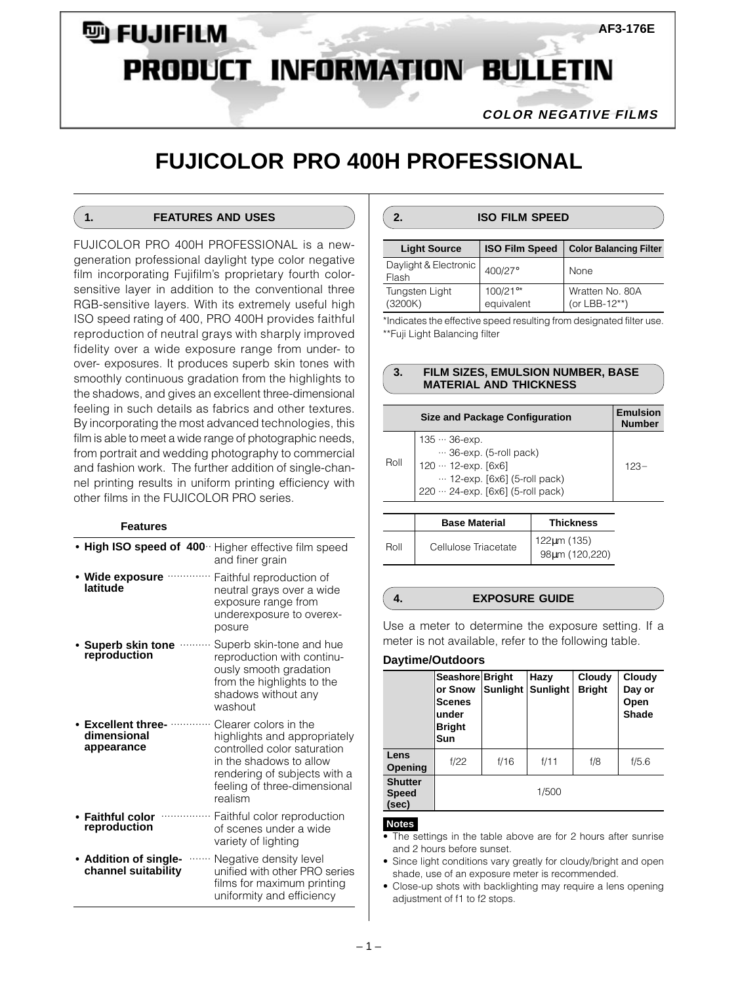# **D** FUJIFILM **AF3-176E PRODUCT INFORMATION BULLETIN**

**COLOR NEGATIVE FILMS**

# **FUJICOLOR PRO 400H PROFESSIONAL**

# **1. FEATURES AND USES**

FUJICOLOR PRO 400H PROFESSIONAL is a newgeneration professional daylight type color negative film incorporating Fujifilm's proprietary fourth colorsensitive layer in addition to the conventional three RGB-sensitive layers. With its extremely useful high ISO speed rating of 400, PRO 400H provides faithful reproduction of neutral grays with sharply improved fidelity over a wide exposure range from under- to over- exposures. It produces superb skin tones with smoothly continuous gradation from the highlights to the shadows, and gives an excellent three-dimensional feeling in such details as fabrics and other textures. By incorporating the most advanced technologies, this film is able to meet a wide range of photographic needs, from portrait and wedding photography to commercial and fashion work. The further addition of single-channel printing results in uniform printing efficiency with other films in the FUJICOLOR PRO series.

#### **Features**

|                                                      | High ISO speed of 400 Higher effective film speed<br>and finer grain                                                                                                                       |
|------------------------------------------------------|--------------------------------------------------------------------------------------------------------------------------------------------------------------------------------------------|
| Wide exposure<br>latitude                            | Faithful reproduction of<br>neutral grays over a wide<br>exposure range from<br>underexposure to overex-<br>posure                                                                         |
| Superb skin tone<br>reproduction                     | Superb skin-tone and hue<br>reproduction with continu-<br>ously smooth gradation<br>from the highlights to the<br>shadows without any<br>washout                                           |
| <b>Excellent three-</b><br>dimensional<br>appearance | Clearer colors in the<br>highlights and appropriately<br>controlled color saturation<br>in the shadows to allow<br>rendering of subjects with a<br>feeling of three-dimensional<br>realism |
| <b>Faithful color</b><br>reproduction                | Faithful color reproduction<br>of scenes under a wide<br>variety of lighting                                                                                                               |
| • Addition of single-<br>channel suitability         | Negative density level<br>unified with other PRO series<br>films for maximum printing<br>uniformity and efficiency                                                                         |

# **2. ISO FILM SPEED**

| <b>Light Source</b>            | <b>ISO Film Speed</b>  | <b>Color Balancing Filter</b>    |
|--------------------------------|------------------------|----------------------------------|
| Daylight & Electronic<br>Flash | 400/27°                | <b>None</b>                      |
| Tungsten Light<br>(3200K)      | 100/21°*<br>equivalent | Wratten No. 80A<br>(or LBB-12**) |

\*Indicates the effective speed resulting from designated filter use. \*\*Fuji Light Balancing filter

#### **3. FILM SIZES, EMULSION NUMBER, BASE MATERIAL AND THICKNESS**

|      | <b>Size and Package Configuration</b>                                                                                                                        | <b>Emulsion</b><br><b>Number</b> |
|------|--------------------------------------------------------------------------------------------------------------------------------------------------------------|----------------------------------|
| Roll | $135 - 36 - exp.$<br>$\cdots$ 36-exp. (5-roll pack)<br>120 •• 12-ехр. [6х6]<br>$\cdots$ 12-exp. [6x6] (5-roll pack)<br>220 · · · 24-exp. [6x6] (5-roll pack) | 123-                             |

|      | <b>Base Material</b> | <b>Thickness</b>              |
|------|----------------------|-------------------------------|
| Roll | Cellulose Triacetate | 122um (135)<br>98µm (120,220) |

### **4. EXPOSURE GUIDE**

Use a meter to determine the exposure setting. If a meter is not available, refer to the following table.

#### **Daytime/Outdoors**

|                                         | Seashore Bright<br>or Snow<br><b>Scenes</b><br>under<br><b>Bright</b><br>Sun | <b>Sunlight</b> | Hazy<br><b>Sunlight</b> | Cloudy<br><b>Bright</b> | Cloudy<br>Day or<br>Open<br>Shade |
|-----------------------------------------|------------------------------------------------------------------------------|-----------------|-------------------------|-------------------------|-----------------------------------|
| Lens<br>Opening                         | f/22                                                                         | f/16            | f/11                    | f/8                     | f/5.6                             |
| <b>Shutter</b><br><b>Speed</b><br>(sec) |                                                                              |                 | 1/500                   |                         |                                   |

#### **Notes**

- The settings in the table above are for 2 hours after sunrise and 2 hours before sunset.
- Since light conditions vary greatly for cloudy/bright and open shade, use of an exposure meter is recommended.
- Close-up shots with backlighting may require a lens opening adjustment of f1 to f2 stops.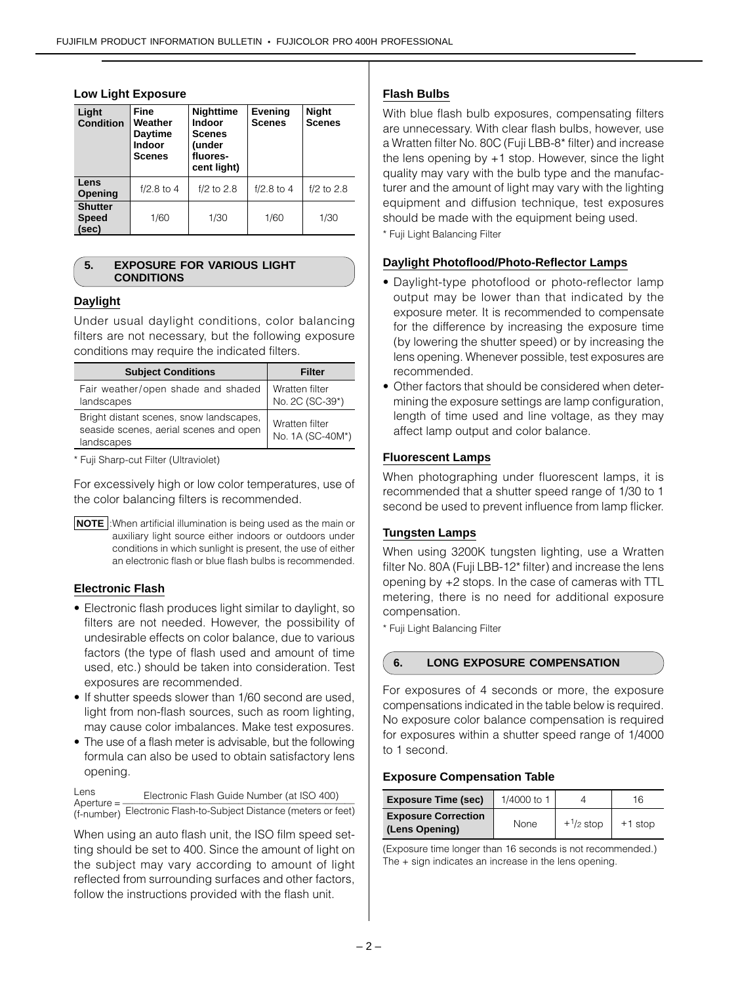| Light<br><b>Condition</b>               | <b>Fine</b><br>Weather<br><b>Daytime</b><br><b>Indoor</b><br><b>Scenes</b> | <b>Nighttime</b><br><b>Indoor</b><br><b>Scenes</b><br>(under<br>fluores-<br>cent light) | <b>Evening</b><br><b>Scenes</b> | <b>Night</b><br><b>Scenes</b> |
|-----------------------------------------|----------------------------------------------------------------------------|-----------------------------------------------------------------------------------------|---------------------------------|-------------------------------|
| Lens<br>Opening                         | $f/2.8$ to 4                                                               | $f/2$ to 2.8                                                                            | $f/2.8$ to 4                    | $f/2$ to 2.8                  |
| <b>Shutter</b><br><b>Speed</b><br>(sec) | 1/60                                                                       | 1/30                                                                                    | 1/60                            | 1/30                          |

#### **Low Light Exposure**

#### **5. EXPOSURE FOR VARIOUS LIGHT CONDITIONS**

## **Daylight**

Under usual daylight conditions, color balancing filters are not necessary, but the following exposure conditions may require the indicated filters.

| <b>Subject Conditions</b>                                                                       | <b>Filter</b>                      |
|-------------------------------------------------------------------------------------------------|------------------------------------|
| Fair weather/open shade and shaded<br>landscapes                                                | Wratten filter<br>No. 2C (SC-39*)  |
| Bright distant scenes, snow landscapes,<br>seaside scenes, aerial scenes and open<br>landscapes | Wratten filter<br>No. 1A (SC-40M*) |

\* Fuji Sharp-cut Filter (Ultraviolet)

For excessively high or low color temperatures, use of the color balancing filters is recommended.



### **Electronic Flash**

- Electronic flash produces light similar to daylight, so filters are not needed. However, the possibility of undesirable effects on color balance, due to various factors (the type of flash used and amount of time used, etc.) should be taken into consideration. Test exposures are recommended.
- If shutter speeds slower than 1/60 second are used, light from non-flash sources, such as room lighting, may cause color imbalances. Make test exposures.
- The use of a flash meter is advisable, but the following formula can also be used to obtain satisfactory lens opening.

Lens Electronic Flash Guide Number (at ISO 400) Aperture = ———————————————————————— (f-number) Electronic Flash-to-Subject Distance (meters or feet)

When using an auto flash unit, the ISO film speed setting should be set to 400. Since the amount of light on the subject may vary according to amount of light reflected from surrounding surfaces and other factors, follow the instructions provided with the flash unit.

## **Flash Bulbs**

With blue flash bulb exposures, compensating filters are unnecessary. With clear flash bulbs, however, use a Wratten filter No. 80C (Fuji LBB-8\* filter) and increase the lens opening by +1 stop. However, since the light quality may vary with the bulb type and the manufacturer and the amount of light may vary with the lighting equipment and diffusion technique, test exposures should be made with the equipment being used.

\* Fuji Light Balancing Filter

#### **Daylight Photoflood/Photo-Reflector Lamps**

- Daylight-type photoflood or photo-reflector lamp output may be lower than that indicated by the exposure meter. It is recommended to compensate for the difference by increasing the exposure time (by lowering the shutter speed) or by increasing the lens opening. Whenever possible, test exposures are recommended.
- Other factors that should be considered when determining the exposure settings are lamp configuration, length of time used and line voltage, as they may affect lamp output and color balance.

## **Fluorescent Lamps**

When photographing under fluorescent lamps, it is recommended that a shutter speed range of 1/30 to 1 second be used to prevent influence from lamp flicker.

#### **Tungsten Lamps**

When using 3200K tungsten lighting, use a Wratten filter No. 80A (Fuji LBB-12\* filter) and increase the lens opening by +2 stops. In the case of cameras with TTL metering, there is no need for additional exposure compensation.

\* Fuji Light Balancing Filter

#### **6. LONG EXPOSURE COMPENSATION**

For exposures of 4 seconds or more, the exposure compensations indicated in the table below is required. No exposure color balance compensation is required for exposures within a shutter speed range of 1/4000 to 1 second.

#### **Exposure Compensation Table**

| <b>Exposure Time (sec)</b>                   | 1/4000 to 1 |             | 16        |
|----------------------------------------------|-------------|-------------|-----------|
| <b>Exposure Correction</b><br>(Lens Opening) | None        | $+1/2$ stop | $+1$ stop |

(Exposure time longer than 16 seconds is not recommended.) The + sign indicates an increase in the lens opening.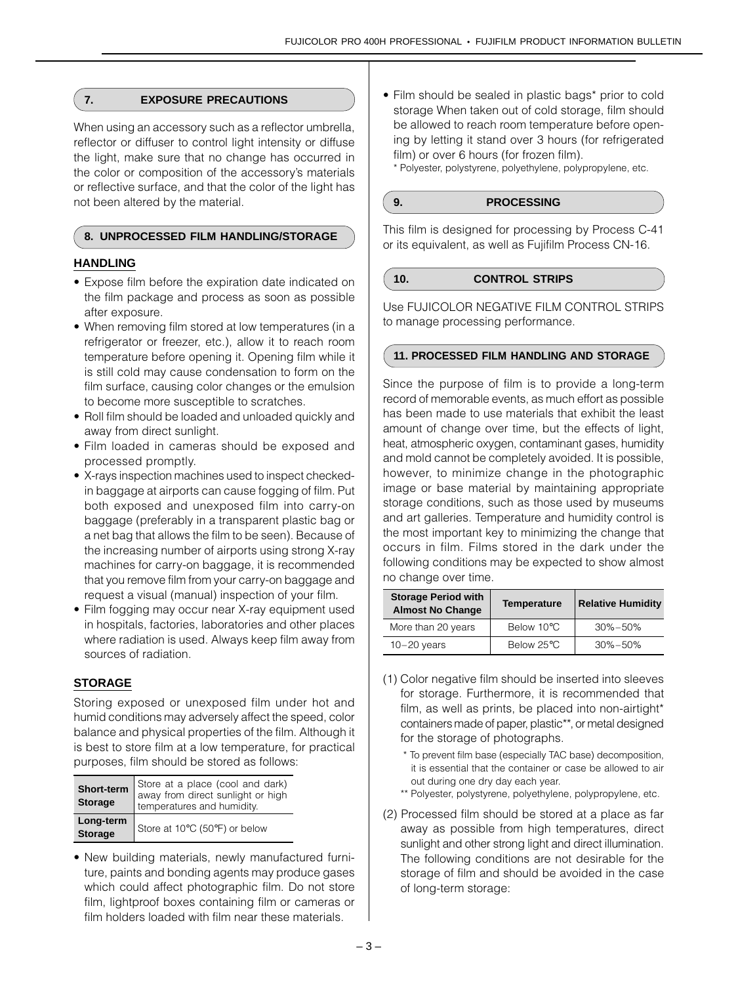## **7. EXPOSURE PRECAUTIONS**

When using an accessory such as a reflector umbrella. reflector or diffuser to control light intensity or diffuse the light, make sure that no change has occurred in the color or composition of the accessory's materials or reflective surface, and that the color of the light has not been altered by the material.

### **8. UNPROCESSED FILM HANDLING/STORAGE**

## **HANDLING**

- Expose film before the expiration date indicated on the film package and process as soon as possible after exposure.
- When removing film stored at low temperatures (in a refrigerator or freezer, etc.), allow it to reach room temperature before opening it. Opening film while it is still cold may cause condensation to form on the film surface, causing color changes or the emulsion to become more susceptible to scratches.
- Roll film should be loaded and unloaded quickly and away from direct sunlight.
- Film loaded in cameras should be exposed and processed promptly.
- X-rays inspection machines used to inspect checkedin baggage at airports can cause fogging of film. Put both exposed and unexposed film into carry-on baggage (preferably in a transparent plastic bag or a net bag that allows the film to be seen). Because of the increasing number of airports using strong X-ray machines for carry-on baggage, it is recommended that you remove film from your carry-on baggage and request a visual (manual) inspection of your film.
- Film fogging may occur near X-ray equipment used in hospitals, factories, laboratories and other places where radiation is used. Always keep film away from sources of radiation.

# **STORAGE**

Storing exposed or unexposed film under hot and humid conditions may adversely affect the speed, color balance and physical properties of the film. Although it is best to store film at a low temperature, for practical purposes, film should be stored as follows:

| Short-term<br><b>Storage</b> | Store at a place (cool and dark)<br>away from direct sunlight or high<br>temperatures and humidity. |
|------------------------------|-----------------------------------------------------------------------------------------------------|
| Long-term<br><b>Storage</b>  | Store at 10°C (50°F) or below                                                                       |

• New building materials, newly manufactured furniture, paints and bonding agents may produce gases which could affect photographic film. Do not store film, lightproof boxes containing film or cameras or film holders loaded with film near these materials.

• Film should be sealed in plastic bags\* prior to cold storage When taken out of cold storage, film should be allowed to reach room temperature before opening by letting it stand over 3 hours (for refrigerated film) or over 6 hours (for frozen film).

\* Polyester, polystyrene, polyethylene, polypropylene, etc.

# **9. PROCESSING**

This film is designed for processing by Process C-41 or its equivalent, as well as Fujifilm Process CN-16.

#### **10. CONTROL STRIPS**

Use FUJICOLOR NEGATIVE FILM CONTROL STRIPS to manage processing performance.

## **11. PROCESSED FILM HANDLING AND STORAGE**

Since the purpose of film is to provide a long-term record of memorable events, as much effort as possible has been made to use materials that exhibit the least amount of change over time, but the effects of light, heat, atmospheric oxygen, contaminant gases, humidity and mold cannot be completely avoided. It is possible, however, to minimize change in the photographic image or base material by maintaining appropriate storage conditions, such as those used by museums and art galleries. Temperature and humidity control is the most important key to minimizing the change that occurs in film. Films stored in the dark under the following conditions may be expected to show almost no change over time.

| <b>Storage Period with</b><br><b>Almost No Change</b> | Temperature | <b>Relative Humidity</b> |
|-------------------------------------------------------|-------------|--------------------------|
| More than 20 years                                    | Below 10°C  | $30\% - 50\%$            |
| $10 - 20$ years                                       | Below 25°C  | $30\% - 50\%$            |

- (1) Color negative film should be inserted into sleeves for storage. Furthermore, it is recommended that film, as well as prints, be placed into non-airtight\* containers made of paper, plastic\*\*, or metal designed for the storage of photographs.
	- \* To prevent film base (especially TAC base) decomposition, it is essential that the container or case be allowed to air out during one dry day each year.
	- \*\* Polyester, polystyrene, polyethylene, polypropylene, etc.
- (2) Processed film should be stored at a place as far away as possible from high temperatures, direct sunlight and other strong light and direct illumination. The following conditions are not desirable for the storage of film and should be avoided in the case of long-term storage: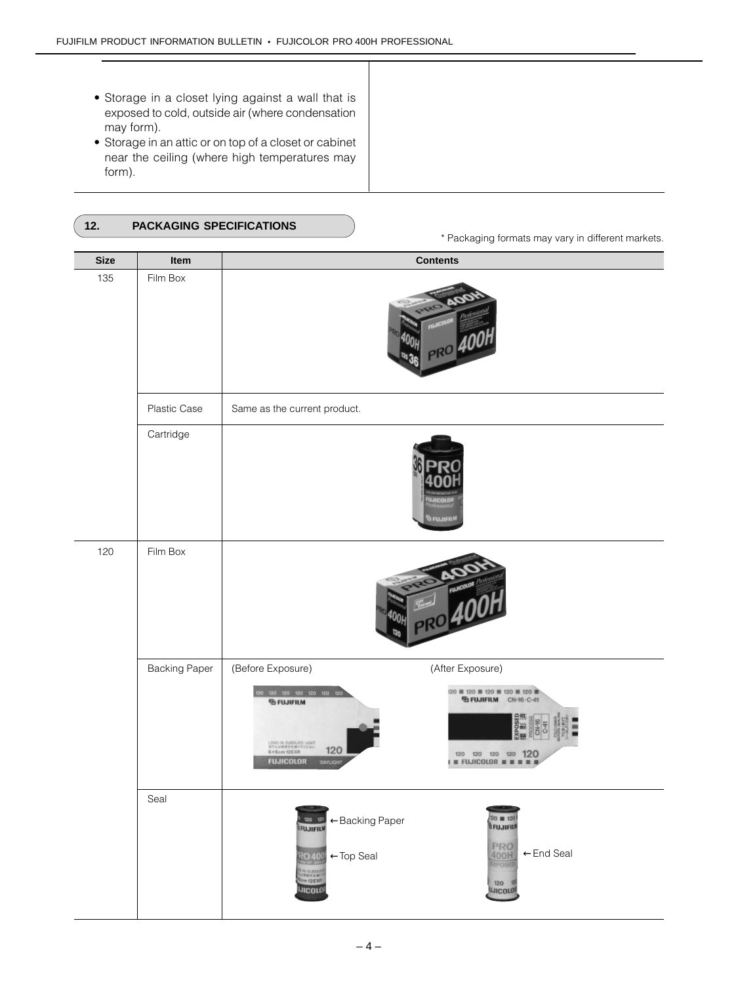• Storage in a closet lying against a wall that is exposed to cold, outside air (where condensation may form).

 $\overline{\phantom{a}}$  $\overline{\phantom{a}}$  $\overline{\phantom{a}}$  $\overline{\phantom{a}}$ ₹  $\overline{\phantom{a}}$  $\overline{\phantom{a}}$  $\overline{\phantom{a}}$  $\mathsf{I}$ 

• Storage in an attic or on top of a closet or cabinet near the ceiling (where high temperatures may form).

| <b>PACKAGING SPECIFICATIONS</b> |  |
|---------------------------------|--|
|                                 |  |

\* Packaging formats may vary in different markets.

| <b>Size</b> | Item                 | <b>Contents</b>                                                                                                                                                                                                                                                                             |
|-------------|----------------------|---------------------------------------------------------------------------------------------------------------------------------------------------------------------------------------------------------------------------------------------------------------------------------------------|
| 135         | Film Box             |                                                                                                                                                                                                                                                                                             |
|             | Plastic Case         | Same as the current product.                                                                                                                                                                                                                                                                |
|             | Cartridge            | <b>S FUJUFIL</b>                                                                                                                                                                                                                                                                            |
| 120         | Film Box             |                                                                                                                                                                                                                                                                                             |
|             | <b>Backing Paper</b> | (Before Exposure)<br>(After Exposure)                                                                                                                                                                                                                                                       |
|             |                      | 120   120   120   120   120   120  <br>120 120 120 120 121<br><b>TO FUJIFIUM</b> CN-16-C-41<br><b><i><u>B FUJIFILM</u></i></b><br>LOND IN SUBDUED LIGHT<br>INTALIEMEER/TECHNIC<br>GROSOM SZEXP<br>120<br>120 120 120 120 120<br><b>FUJICOLOR</b><br><b>II FUJICOLOR # #</b><br>DAYLIGH<br>٠ |
|             | Seal                 | <b>20 m 120</b><br>B FUJIFIU<br><b>A tas tas</b> $\leftarrow$ Backing Paper<br>PRO<br>400H<br>←End Seal<br><b>RO400</b><br>←Top Seal<br><sup>d</sup> iv succuti<br><sup>Vale</sup> ric Earl<br>120 12<br><b>INCOLOR</b><br><b>UJICOLOR</b>                                                  |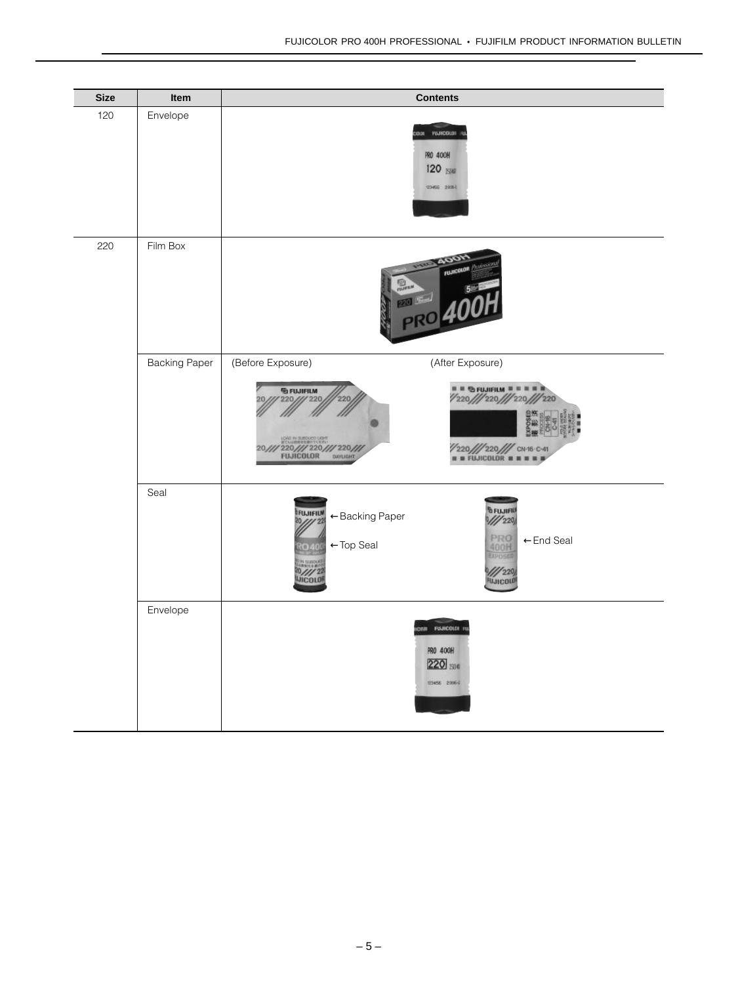| <b>Size</b> | Item                 | <b>Contents</b>                                                                                                                                                                                                   |
|-------------|----------------------|-------------------------------------------------------------------------------------------------------------------------------------------------------------------------------------------------------------------|
| 120         | Envelope             | <b>FINICOLOR</b><br><b>ROK</b><br>PRO 400H<br>120 ISIW<br>120456 20061                                                                                                                                            |
| 220         | Film Box             | <b>AOO!</b><br><b>FUJICOLOR</b><br><b>PRO</b>                                                                                                                                                                     |
|             | <b>Backing Paper</b> | (Before Exposure)<br>(After Exposure)<br><b><i><u>G</u></i></b> FUJIFILM<br>1/220/1/220/1/220/1/220<br>1/1220<br>220,<br>220<br>//220///220/// CN16 C-41<br>220/// 220/// 220///<br>FUJICOLOR DANIGHT             |
|             | Seal                 | <b>BEUJIFIU</b><br>FUJIFILM<br>←Backing Paper<br>$\frac{1}{220}$<br>20/// 22<br><b>PRO</b><br>←End Seal<br>←Top Seal<br>400H<br>040<br><b>LIPOSED</b><br>IN SUBDU<br>0///22<br>$\frac{1}{220}$<br><b>FUJICOLD</b> |
|             | Envelope             | cui Fualcoust ru<br>PRO 400H<br>220 ISI6<br>12458 2006-2                                                                                                                                                          |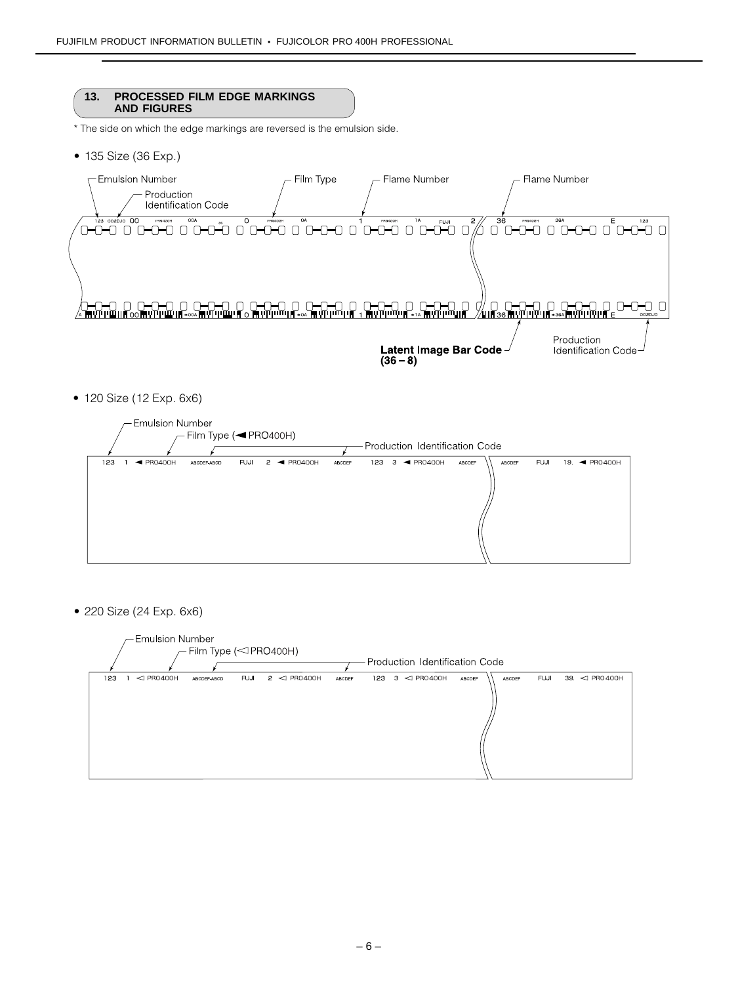#### **13. PROCESSED FILM EDGE MARKINGS AND FIGURES**

\* The side on which the edge markings are reversed is the emulsion side.

• 135 Size (36 Exp.)



• 120 Size (12 Exp. 6x6)



• 220 Size (24 Exp. 6x6)

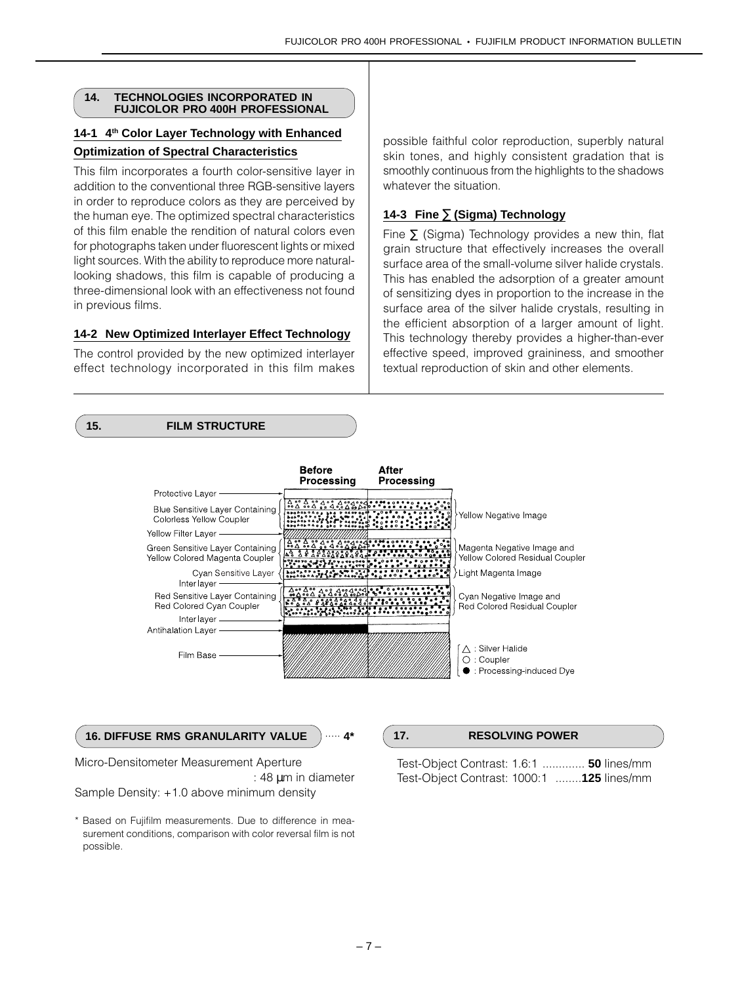#### **14. TECHNOLOGIES INCORPORATED IN FUJICOLOR PRO 400H PROFESSIONAL**

# **14-1 4th Color Layer Technology with Enhanced Optimization of Spectral Characteristics**

This film incorporates a fourth color-sensitive layer in addition to the conventional three RGB-sensitive layers in order to reproduce colors as they are perceived by the human eye. The optimized spectral characteristics of this film enable the rendition of natural colors even for photographs taken under fluorescent lights or mixed light sources. With the ability to reproduce more naturallooking shadows, this film is capable of producing a three-dimensional look with an effectiveness not found in previous films.

# **14-2 New Optimized Interlayer Effect Technology**

The control provided by the new optimized interlayer effect technology incorporated in this film makes

possible faithful color reproduction, superbly natural skin tones, and highly consistent gradation that is smoothly continuous from the highlights to the shadows whatever the situation.

# **14-3 Fine** ∑ **(Sigma) Technology**

Fine  $\Sigma$  (Sigma) Technology provides a new thin, flat grain structure that effectively increases the overall surface area of the small-volume silver halide crystals. This has enabled the adsorption of a greater amount of sensitizing dyes in proportion to the increase in the surface area of the silver halide crystals, resulting in the efficient absorption of a larger amount of light. This technology thereby provides a higher-than-ever effective speed, improved graininess, and smoother textual reproduction of skin and other elements.